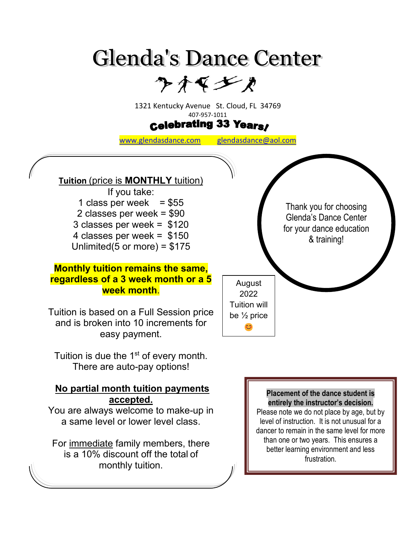# **Glenda's Dance Center**

クオマンカ

1321 Kentucky Avenue St. Cloud, FL 34769

## 407-957-1011<br>**Celebrating 33 Years**

[www.glendasdance.com](http://www.glendasdance.com/) [glendasdance@aol.com](mailto:glendasdance@aol.com)

#### **Tuition** (price is **MONTHLY** tuition)

If you take: 1 class per week  $= $55$ 2 classes per week = \$90 3 classes per week = \$120 4 classes per week = \$150 Unlimited(5 or more) = \$175

#### **Monthly tuition remains the same, regardless of a 3 week month or a 5 week month**.

Tuition is based on a Full Session price and is broken into 10 increments for easy payment.

Tuition is due the 1<sup>st</sup> of every month. There are auto-pay options!

#### **No partial month tuition payments accepted.**

You are always welcome to make-up in a same level or lower level class.

For immediate family members, there is a 10% discount off the total of monthly tuition.

**Placement of the dance student is entirely the instructor's decision.** Please note we do not place by age, but by level of instruction. It is not unusual for a dancer to remain in the same level for more than one or two years. This ensures a better learning environment and less frustration.

Thank you for choosing Glenda's Dance Center for your dance education & training!

August 2022 Tuition will be ½ price C<sub>3</sub>